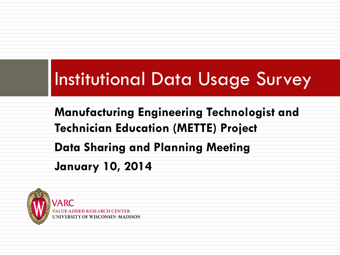# Institutional Data Usage Survey

#### **Manufacturing Engineering Technologist and Technician Education (METTE) Project Data Sharing and Planning Meeting January 10, 2014**

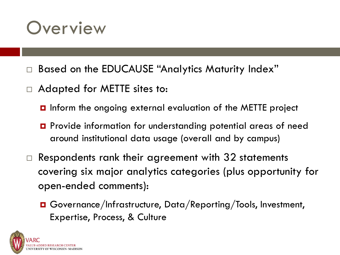#### **Overview**

- Based on the EDUCAUSE "Analytics Maturity Index"
- Adapted for METTE sites to:
	- **D** Inform the ongoing external evaluation of the METTE project
	- Provide information for understanding potential areas of need around institutional data usage (overall and by campus)
- $\Box$  Respondents rank their agreement with 32 statements covering six major analytics categories (plus opportunity for open-ended comments):
	- Governance/Infrastructure, Data/Reporting/Tools, Investment, Expertise, Process, & Culture

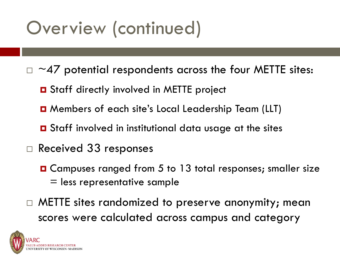# Overview (continued)

- $\Box \sim$ 47 potential respondents across the four METTE sites:
	- **O** Staff directly involved in METTE project
	- Members of each site's Local Leadership Team (LLT)
	- **O** Staff involved in institutional data usage at the sites
- □ Received 33 responses
	- Campuses ranged from 5 to 13 total responses; smaller size = less representative sample
- $\Box$  METTE sites randomized to preserve anonymity; mean scores were calculated across campus and category

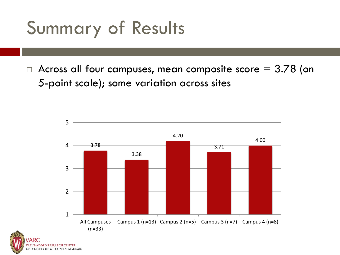# Summary of Results

NIVERSITY OF WISCONSIN-MADISON

 $\Box$  Across all four campuses, mean composite score = 3.78 (on 5-point scale); some variation across sites

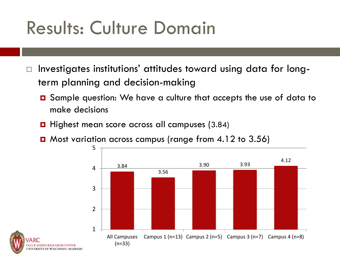# Results: Culture Domain

- $\Box$  Investigates institutions' attitudes toward using data for longterm planning and decision-making
	- **□** Sample question: We have a culture that accepts the use of data to make decisions
	- $\blacksquare$  Highest mean score across all campuses (3.84)
	- **D** Most variation across campus (range from 4.12 to 3.56)



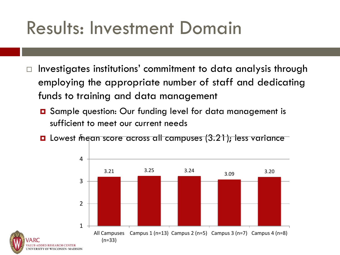## Results: Investment Domain

- Investigates institutions' commitment to data analysis through employing the appropriate number of staff and dedicating funds to training and data management
	- **□** Sample question: Our funding level for data management is sufficient to meet our current needs
	- **O** Lowest mean score across all campuses (3.21); less variance

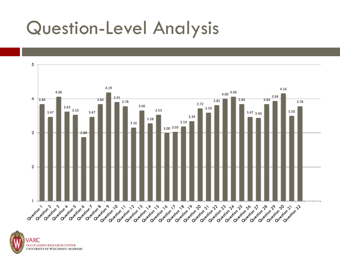### Question-Level Analysis



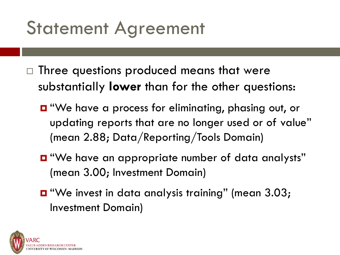# Statement Agreement

- $\Box$  Three questions produced means that were substantially **lower** than for the other questions:
	- **D** "We have a process for eliminating, phasing out, or updating reports that are no longer used or of value" (mean 2.88; Data/Reporting/Tools Domain)
	- "We have an appropriate number of data analysts" (mean 3.00; Investment Domain)
	- "We invest in data analysis training" (mean 3.03; Investment Domain)

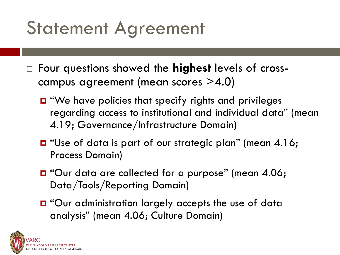# Statement Agreement

- Four questions showed the **highest** levels of crosscampus agreement (mean scores >4.0)
	- "We have policies that specify rights and privileges regarding access to institutional and individual data" (mean 4.19; Governance/Infrastructure Domain)
	- **D** "Use of data is part of our strategic plan" (mean 4.16; Process Domain)
	- **D** "Our data are collected for a purpose" (mean 4.06; Data/Tools/Reporting Domain)
	- **D** "Our administration largely accepts the use of data analysis" (mean 4.06; Culture Domain)

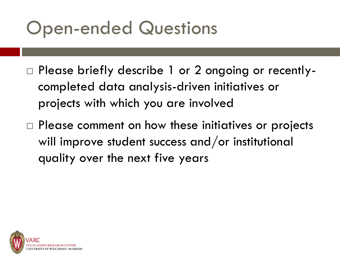# Open-ended Questions

- □ Please briefly describe 1 or 2 ongoing or recentlycompleted data analysis-driven initiatives or projects with which you are involved
- $\Box$  Please comment on how these initiatives or projects will improve student success and/or institutional quality over the next five years

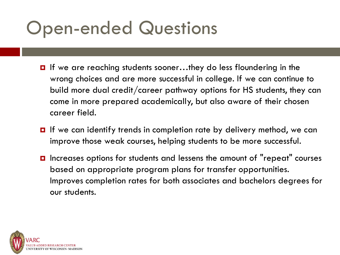# Open-ended Questions

- If we are reaching students sooner...they do less floundering in the wrong choices and are more successful in college. If we can continue to build more dual credit/career pathway options for HS students, they can come in more prepared academically, but also aware of their chosen career field.
- $\blacksquare$  If we can identify trends in completion rate by delivery method, we can improve those weak courses, helping students to be more successful.
- **□** Increases options for students and lessens the amount of "repeat" courses based on appropriate program plans for transfer opportunities. Improves completion rates for both associates and bachelors degrees for our students.